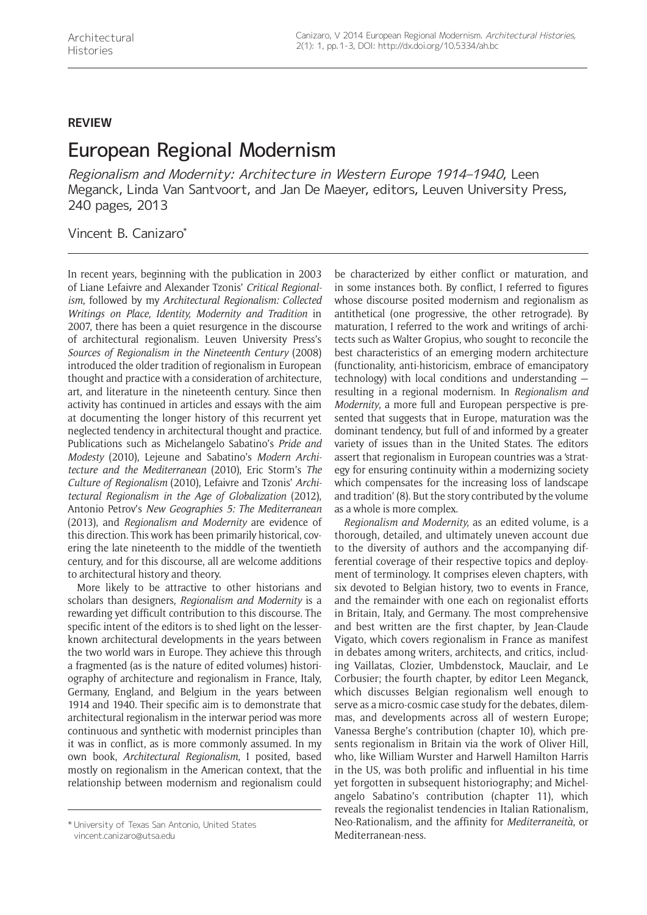## **REVIEW**

## European Regional Modernism

Regionalism and Modernity: Architecture in Western Europe 1914–1940, Leen Meganck, Linda Van Santvoort, and Jan De Maeyer, editors, Leuven University Press, 240 pages, 2013

## Vincent B. Canizaro\*

In recent years, beginning with the publication in 2003 of Liane Lefaivre and Alexander Tzonis' *Critical Regionalism*, followed by my *Architectural Regionalism: Collected Writings on Place, Identity, Modernity and Tradition* in 2007, there has been a quiet resurgence in the discourse of architectural regionalism. Leuven University Press's *Sources of Regionalism in the Nineteenth Century* (2008) introduced the older tradition of regionalism in European thought and practice with a consideration of architecture, art, and literature in the nineteenth century. Since then activity has continued in articles and essays with the aim at documenting the longer history of this recurrent yet neglected tendency in architectural thought and practice. Publications such as Michelangelo Sabatino's *Pride and Modesty* (2010), Lejeune and Sabatino's *Modern Architecture and the Mediterranean* (2010), Eric Storm's *The Culture of Regionalism* (2010), Lefaivre and Tzonis' *Architectural Regionalism in the Age of Globalization* (2012), Antonio Petrov's *New Geographies 5: The Mediterranean* (2013), and *Regionalism and Modernity* are evidence of this direction. This work has been primarily historical, covering the late nineteenth to the middle of the twentieth century, and for this discourse, all are welcome additions to architectural history and theory.

More likely to be attractive to other historians and scholars than designers, *Regionalism and Modernity* is a rewarding yet difficult contribution to this discourse. The specific intent of the editors is to shed light on the lesserknown architectural developments in the years between the two world wars in Europe. They achieve this through a fragmented (as is the nature of edited volumes) historiography of architecture and regionalism in France, Italy, Germany, England, and Belgium in the years between 1914 and 1940. Their specific aim is to demonstrate that architectural regionalism in the interwar period was more continuous and synthetic with modernist principles than it was in conflict, as is more commonly assumed. In my own book, *Architectural Regionalism*, I posited, based mostly on regionalism in the American context, that the relationship between modernism and regionalism could be characterized by either conflict or maturation, and in some instances both. By conflict, I referred to figures whose discourse posited modernism and regionalism as antithetical (one progressive, the other retrograde). By maturation, I referred to the work and writings of architects such as Walter Gropius, who sought to reconcile the best characteristics of an emerging modern architecture (functionality, anti-historicism, embrace of emancipatory technology) with local conditions and understanding resulting in a regional modernism. In *Regionalism and Modernity*, a more full and European perspective is presented that suggests that in Europe, maturation was the dominant tendency, but full of and informed by a greater variety of issues than in the United States. The editors assert that regionalism in European countries was a 'strategy for ensuring continuity within a modernizing society which compensates for the increasing loss of landscape and tradition' (8). But the story contributed by the volume as a whole is more complex.

*Regionalism and Modernity,* as an edited volume, is a thorough, detailed, and ultimately uneven account due to the diversity of authors and the accompanying differential coverage of their respective topics and deployment of terminology. It comprises eleven chapters, with six devoted to Belgian history, two to events in France, and the remainder with one each on regionalist efforts in Britain, Italy, and Germany. The most comprehensive and best written are the first chapter, by Jean-Claude Vigato, which covers regionalism in France as manifest in debates among writers, architects, and critics, including Vaillatas, Clozier, Umbdenstock, Mauclair, and Le Corbusier; the fourth chapter, by editor Leen Meganck, which discusses Belgian regionalism well enough to serve as a micro-cosmic case study for the debates, dilemmas, and developments across all of western Europe; Vanessa Berghe's contribution (chapter 10), which presents regionalism in Britain via the work of Oliver Hill, who, like William Wurster and Harwell Hamilton Harris in the US, was both prolific and influential in his time yet forgotten in subsequent historiography; and Michelangelo Sabatino's contribution (chapter 11), which reveals the regionalist tendencies in Italian Rationalism, Neo-Rationalism, and the affinity for *Mediterraneità*, or

<sup>\*</sup> University of Texas San Antonio, United States **Mediterranean-ness.** \* University of Texas San Antonio, United States<br>Mediterranean-ness. vincent.canizaro@utsa.edu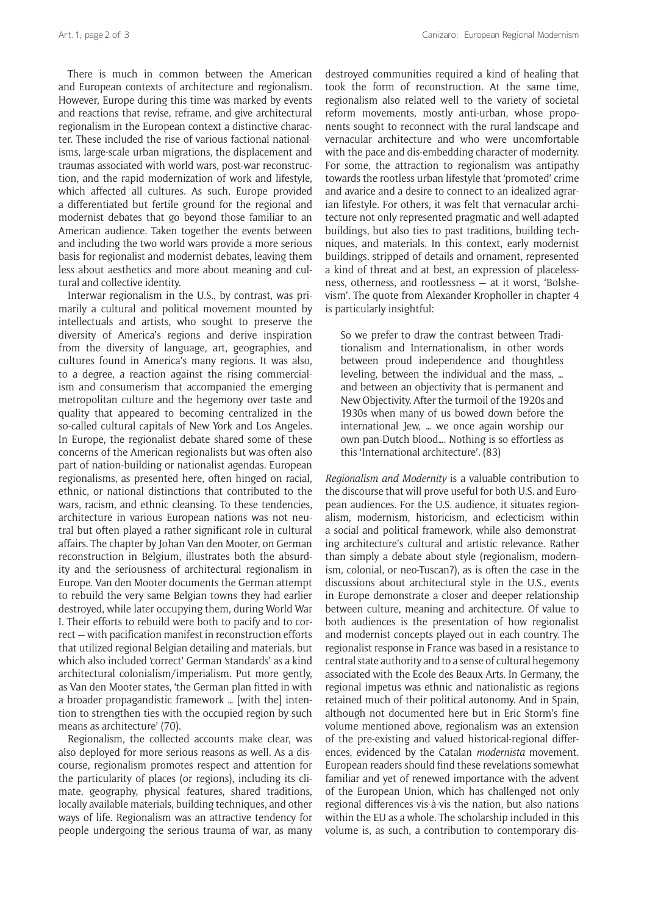There is much in common between the American and European contexts of architecture and regionalism. However, Europe during this time was marked by events and reactions that revise, reframe, and give architectural regionalism in the European context a distinctive character. These included the rise of various factional nationalisms, large-scale urban migrations, the displacement and traumas associated with world wars, post-war reconstruction, and the rapid modernization of work and lifestyle, which affected all cultures. As such, Europe provided a differentiated but fertile ground for the regional and modernist debates that go beyond those familiar to an American audience. Taken together the events between and including the two world wars provide a more serious basis for regionalist and modernist debates, leaving them less about aesthetics and more about meaning and cultural and collective identity.

Interwar regionalism in the U.S., by contrast, was primarily a cultural and political movement mounted by intellectuals and artists, who sought to preserve the diversity of America's regions and derive inspiration from the diversity of language, art, geographies, and cultures found in America's many regions. It was also, to a degree, a reaction against the rising commercialism and consumerism that accompanied the emerging metropolitan culture and the hegemony over taste and quality that appeared to becoming centralized in the so-called cultural capitals of New York and Los Angeles. In Europe, the regionalist debate shared some of these concerns of the American regionalists but was often also part of nation-building or nationalist agendas. European regionalisms, as presented here, often hinged on racial, ethnic, or national distinctions that contributed to the wars, racism, and ethnic cleansing. To these tendencies, architecture in various European nations was not neutral but often played a rather significant role in cultural affairs. The chapter by Johan Van den Mooter, on German reconstruction in Belgium, illustrates both the absurdity and the seriousness of architectural regionalism in Europe. Van den Mooter documents the German attempt to rebuild the very same Belgian towns they had earlier destroyed, while later occupying them, during World War I. Their efforts to rebuild were both to pacify and to correct — with pacification manifest in reconstruction efforts that utilized regional Belgian detailing and materials, but which also included 'correct' German 'standards' as a kind architectural colonialism/imperialism. Put more gently, as Van den Mooter states, 'the German plan fitted in with a broader propagandistic framework … [with the] intention to strengthen ties with the occupied region by such means as architecture' (70).

Regionalism, the collected accounts make clear, was also deployed for more serious reasons as well. As a discourse, regionalism promotes respect and attention for the particularity of places (or regions), including its climate, geography, physical features, shared traditions, locally available materials, building techniques, and other ways of life. Regionalism was an attractive tendency for people undergoing the serious trauma of war, as many destroyed communities required a kind of healing that took the form of reconstruction. At the same time, regionalism also related well to the variety of societal reform movements, mostly anti-urban, whose proponents sought to reconnect with the rural landscape and vernacular architecture and who were uncomfortable with the pace and dis-embedding character of modernity. For some, the attraction to regionalism was antipathy towards the rootless urban lifestyle that 'promoted' crime and avarice and a desire to connect to an idealized agrarian lifestyle. For others, it was felt that vernacular architecture not only represented pragmatic and well-adapted buildings, but also ties to past traditions, building techniques, and materials. In this context, early modernist buildings, stripped of details and ornament, represented a kind of threat and at best, an expression of placelessness, otherness, and rootlessness — at it worst, 'Bolshevism'. The quote from Alexander Kropholler in chapter 4 is particularly insightful:

So we prefer to draw the contrast between Traditionalism and Internationalism, in other words between proud independence and thoughtless leveling, between the individual and the mass, … and between an objectivity that is permanent and New Objectivity. After the turmoil of the 1920s and 1930s when many of us bowed down before the international Jew, … we once again worship our own pan-Dutch blood…. Nothing is so effortless as this 'International architecture'. (83)

*Regionalism and Modernity* is a valuable contribution to the discourse that will prove useful for both U.S. and European audiences. For the U.S. audience, it situates regionalism, modernism, historicism, and eclecticism within a social and political framework, while also demonstrating architecture's cultural and artistic relevance. Rather than simply a debate about style (regionalism, modernism, colonial, or neo-Tuscan?), as is often the case in the discussions about architectural style in the U.S., events in Europe demonstrate a closer and deeper relationship between culture, meaning and architecture. Of value to both audiences is the presentation of how regionalist and modernist concepts played out in each country. The regionalist response in France was based in a resistance to central state authority and to a sense of cultural hegemony associated with the Ecole des Beaux-Arts. In Germany, the regional impetus was ethnic and nationalistic as regions retained much of their political autonomy. And in Spain, although not documented here but in Eric Storm's fine volume mentioned above, regionalism was an extension of the pre-existing and valued historical-regional differences, evidenced by the Catalan *modernista* movement. European readers should find these revelations somewhat familiar and yet of renewed importance with the advent of the European Union, which has challenged not only regional differences vis-à-vis the nation, but also nations within the EU as a whole. The scholarship included in this volume is, as such, a contribution to contemporary dis